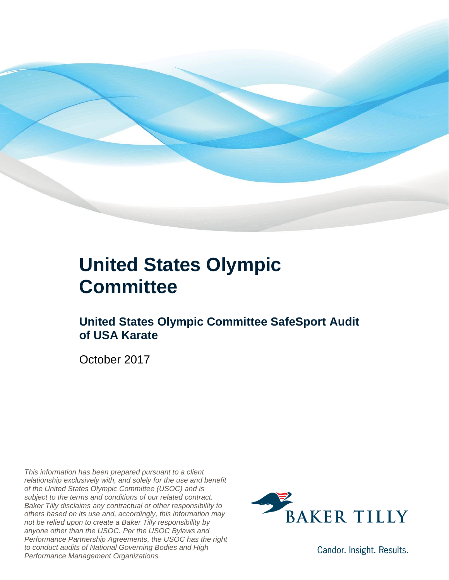

### **United States Olympic Committee**

### **United States Olympic Committee SafeSport Audit of USA Karate**

October 2017

*This information has been prepared pursuant to a client relationship exclusively with, and solely for the use and benefit of the United States Olympic Committee (USOC) and is subject to the terms and conditions of our related contract. Baker Tilly disclaims any contractual or other responsibility to others based on its use and, accordingly, this information may not be relied upon to create a Baker Tilly responsibility by anyone other than the USOC. Per the USOC Bylaws and Performance Partnership Agreements, the USOC has the right to conduct audits of National Governing Bodies and High Performance Management Organizations.*



Candor. Insight. Results.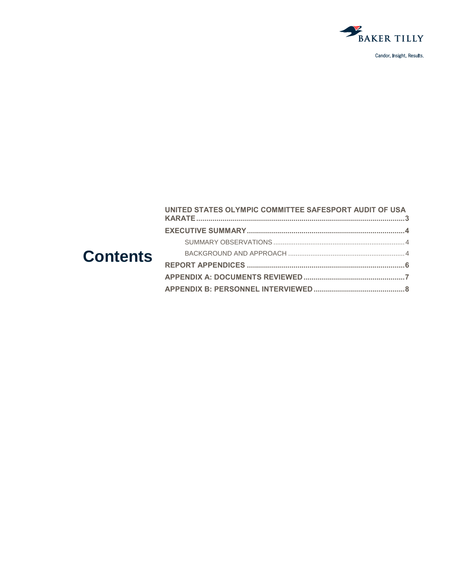

Candor. Insight. Results.

|                 | UNITED STATES OLYMPIC COMMITTEE SAFESPORT AUDIT OF USA |  |
|-----------------|--------------------------------------------------------|--|
| <b>Contents</b> |                                                        |  |
|                 |                                                        |  |
|                 |                                                        |  |
|                 |                                                        |  |
|                 |                                                        |  |
|                 |                                                        |  |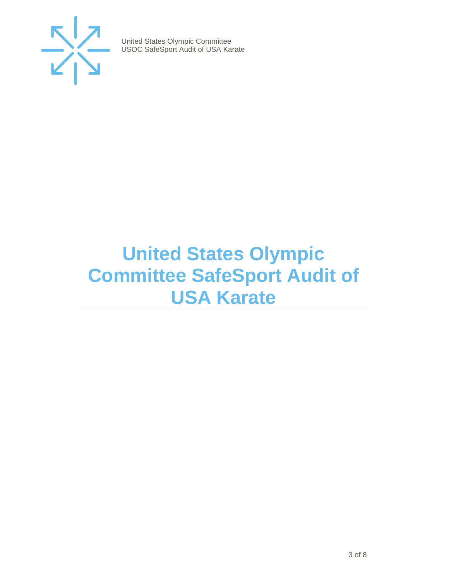

## <span id="page-2-0"></span>**United States Olympic Committee SafeSport Audit of USA Karate**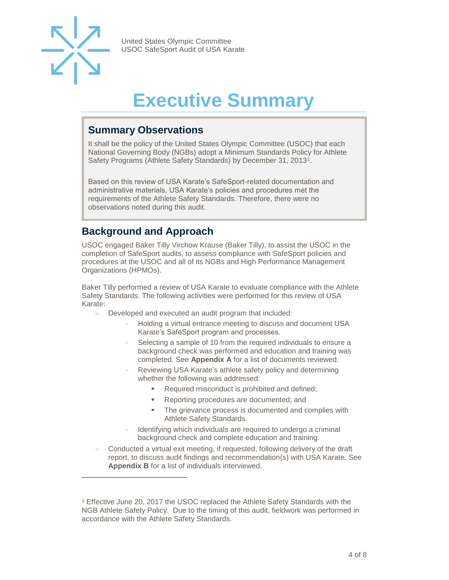

 $\overline{a}$ 

United States Olympic Committee USOC SafeSport Audit of USA Karate

## **Executive Summary**

#### <span id="page-3-1"></span><span id="page-3-0"></span>**Summary Observations**

It shall be the policy of the United States Olympic Committee (USOC) that each National Governing Body (NGBs) adopt a Minimum Standards Policy for Athlete Safety Programs (Athlete Safety Standards) by December 31, 2013<sup>1</sup>.

Based on this review of USA Karate's SafeSport-related documentation and administrative materials, USA Karate's policies and procedures met the requirements of the Athlete Safety Standards. Therefore, there were no observations noted during this audit.

#### <span id="page-3-2"></span>**Background and Approach**

USOC engaged Baker Tilly Virchow Krause (Baker Tilly), to assist the USOC in the completion of SafeSport audits, to assess compliance with SafeSport policies and procedures at the USOC and all of its NGBs and High Performance Management Organizations (HPMOs).

Baker Tilly performed a review of USA Karate to evaluate compliance with the Athlete Safety Standards. The following activities were performed for this review of USA Karate:

- Developed and executed an audit program that included:
	- Holding a virtual entrance meeting to discuss and document USA Karate's SafeSport program and processes.
	- Selecting a sample of 10 from the required individuals to ensure a background check was performed and education and training was completed. See **Appendix A** for a list of documents reviewed.
	- Reviewing USA Karate's athlete safety policy and determining whether the following was addressed:
		- Required misconduct is prohibited and defined;
		- Reporting procedures are documented; and
		- **The grievance process is documented and complies with** Athlete Safety Standards.
	- Identifying which individuals are required to undergo a criminal background check and complete education and training.
- Conducted a virtual exit meeting, if requested, following delivery of the draft report, to discuss audit findings and recommendation(s) with USA Karate. See **Appendix B** for a list of individuals interviewed.

<sup>1</sup> Effective June 20, 2017 the USOC replaced the Athlete Safety Standards with the NGB Athlete Safety Policy. Due to the timing of this audit, fieldwork was performed in accordance with the Athlete Safety Standards.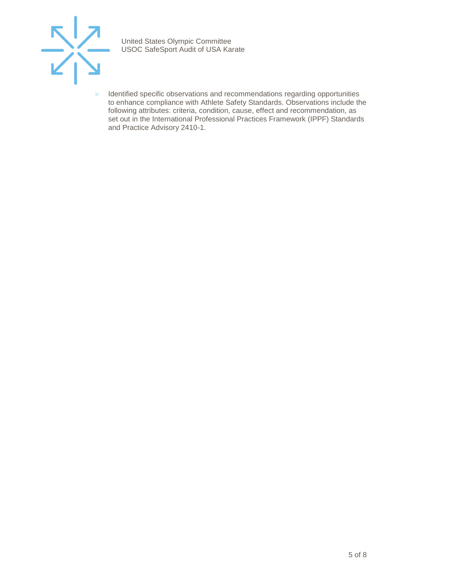

> Identified specific observations and recommendations regarding opportunities to enhance compliance with Athlete Safety Standards. Observations include the following attributes: criteria, condition, cause, effect and recommendation, as set out in the International Professional Practices Framework (IPPF) Standards and Practice Advisory 2410-1.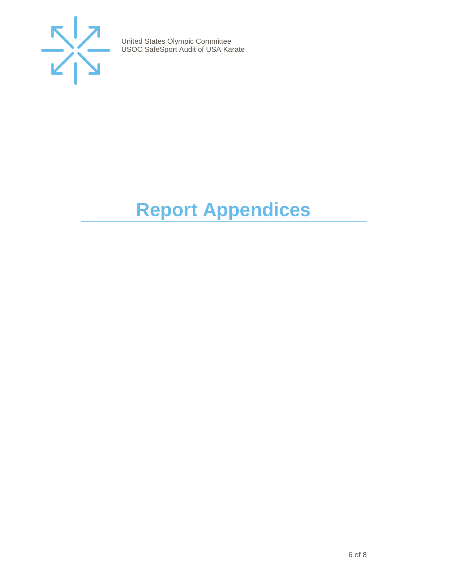

## <span id="page-5-0"></span>**Report Appendices**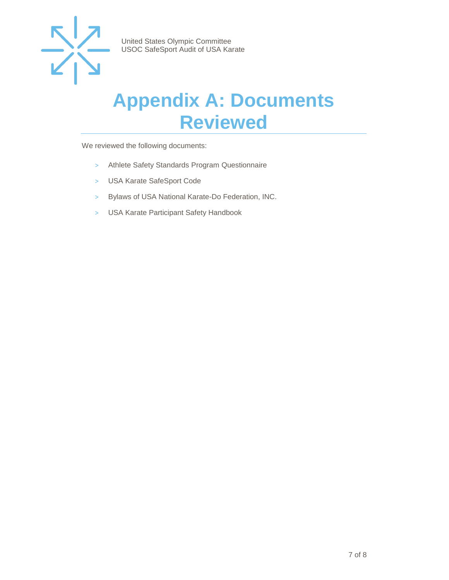

### <span id="page-6-0"></span>**Appendix A: Documents Reviewed**

We reviewed the following documents:

- > Athlete Safety Standards Program Questionnaire
- > USA Karate SafeSport Code
- > Bylaws of USA National Karate-Do Federation, INC.
- > USA Karate Participant Safety Handbook